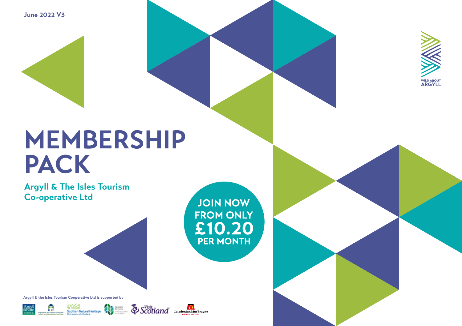**June 2022 V3**

# **MEMBERSHIP PACK**

**Argyll & The Isles Tourism Co-operative Ltd**

**JOIN NOW FROM ONLY** £10.20 **PER MONTH** 

**Argyll & the Isles Tourism Cooperative Ltd is supported by**







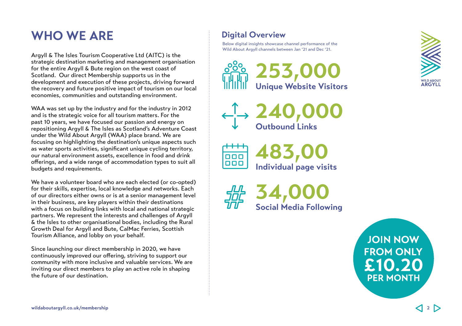# **WHO WE ARE**  Digital Overview

Argyll & The Isles Tourism Cooperative Ltd (AITC) is the strategic destination marketing and management organisation for the entire Argyll & Bute region on the west coast of Scotland. Our direct Membership supports us in the development and execution of these projects, driving forward the recovery and future positive impact of tourism on our local economies, communities and outstanding environment.

WAA was set up by the industry and for the industry in 2012 and is the strategic voice for all tourism matters. For the past 10 years, we have focused our passion and energy on repositioning Argyll & The Isles as Scotland's Adventure Coast under the Wild About Argyll (WAA) place brand. We are focusing on highlighting the destination's unique aspects such as water sports activities, significant unique cycling territory, our natural environment assets, excellence in food and drink offerings, and a wide range of accommodation types to suit all budgets and requirements.

We have a volunteer board who are each elected (or co-opted) for their skills, expertise, local knowledge and networks. Each of our directors either owns or is at a senior management level in their business, are key players within their destinations with a focus on building links with local and national strategic partners. We represent the interests and challenges of Argyll & the Isles to other organisational bodies, including the Rural Growth Deal for Argyll and Bute, CalMac Ferries, Scottish Tourism Alliance, and lobby on your behalf.

Since launching our direct membership in 2020, we have continuously improved our offering, striving to support our community with more inclusive and valuable services. We are inviting our direct members to play an active role in shaping the future of our destination.

Below digital insights showcase channel performance of the Wild About Argyll channels between Jan '21 and Dec '21.









**34,000 Social Media Following**



**JOIN NOW FROM ONLY** £10.20 **PER MONTH**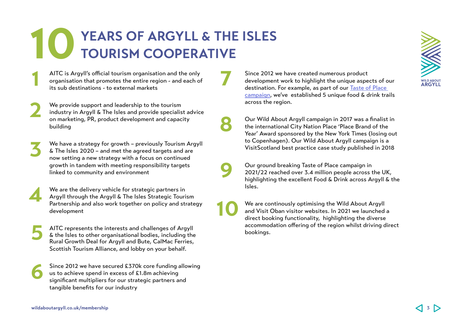# **YEARS OF ARGYLL & THE ISLES TOURISM COOPERATIVE 10**

**7**

**8**

**9**

**10**

AITC is Argyll's official tourism organisation and the only organisation that promotes the entire region - and each of its sub destinations - to external markets

We provide support and leadership to the tourism industry in Argyll & The Isles and provide specialist advice on marketing, PR, product development and capacity building **2**

We have a strategy for growth – previously Tourism Argyll & The Isles 2020 – and met the agreed targets and are now setting a new strategy with a focus on continued growth in tandem with meeting responsibility targets linked to community and environment **3**

We are the delivery vehicle for strategic partners in Argyll through the Argyll & The Isles Strategic Tourism Partnership and also work together on policy and strategy development **4**

AITC represents the interests and challenges of Argyll & the Isles to other organisational bodies, including the Rural Growth Deal for Argyll and Bute, CalMac Ferries, Scottish Tourism Alliance, and lobby on your behalf. **5**

Since 2012 we have secured £370k core funding allowing us to achieve spend in excess of £1.8m achieving significant multipliers for our strategic partners and tangible benefits for our industry **6**

Since 2012 we have created numerous product development work to highlight the unique aspects of our destination. For example, as part of our [Taste of Place](https://www.wildaboutargyll.co.uk/eat-and-drink/taste-of-place-trails/http://)  [campaign](https://www.wildaboutargyll.co.uk/eat-and-drink/taste-of-place-trails/http://), we've established 5 unique food & drink trails across the region.

Our Wild About Argyll campaign in 2017 was a finalist in the international City Nation Place 'Place Brand of the Year' Award sponsored by the New York Times (losing out to Copenhagen). Our Wild About Argyll campaign is a VisitScotland best practice case study published in 2018

Our ground breaking Taste of Place campaign in 2021/22 reached over 3.4 million people across the UK, highlighting the excellent Food & Drink across Argyll & the Isles.

We are continously optimising the Wild About Argyll and Visit Oban visitor websites. In 2021 we launched a direct booking functionality, highlighting the diverse accommodation offering of the region whilst driving direct bookings.



**1**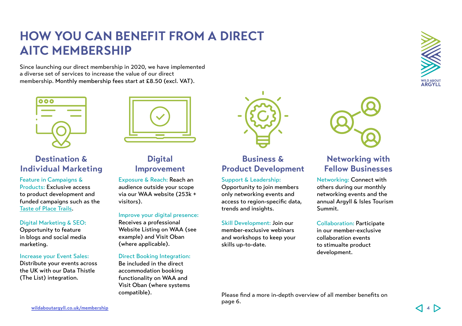# **HOW YOU CAN BENEFIT FROM A DIRECT AITC MEMBERSHIP**

Since launching our direct membership in 2020, we have implemented a diverse set of services to increase the value of our direct membership. Monthly membership fees start at £8.50 (excl. VAT).



# **Destination & Individual Marketing**

Feature in Campaigns & Products: Exclusive access to product development and funded campaigns such as the [Taste of Place Trails.](http://Taste of Place Trails)

# Digital Marketing & SEO:

Opportunity to feature in blogs and social media marketing.

# Increase your Event Sales:

Distribute your events across the UK with our Data Thistle (The List) integration.

# **Digital Improvement**

Exposure & Reach: Reach an audience outside your scope via our WAA website (253k + visitors).

# Improve your digital presence:

Receives a professional Website Listing on WAA (see example) and Visit Oban (where applicable).

# Direct Booking Integration:

Be included in the direct accommodation booking functionality on WAA and Visit Oban (where systems compatible).



# **Business & Product Development**

# Support & Leadership:

Opportunity to join members only networking events and access to region-specific data, trends and insights.

### Skill Development: Join our member-exclusive webinars

and workshops to keep your skills up-to-date.



# **Networking with Fellow Businesses**

Networking: Connect with others during our monthly networking events and the annual Argyll & Isles Tourism Summit.

### Collaboration: Participate in our member-exclusive

collaboration events to stimualte product development.

Please find a more in-depth overview of all member benefits on page 6.

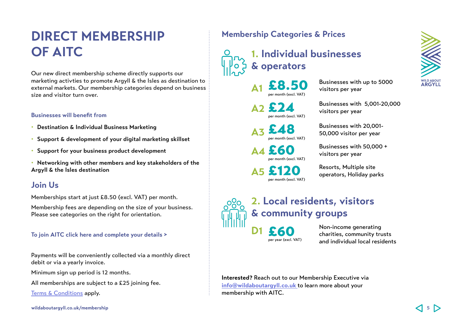# **DIRECT MEMBERSHIP OF AITC**

Our new direct membership scheme directly supports our marketing activties to promote Argyll & the Isles as destination to external markets. Our membership categories depend on business size and visitor turn over.

# **Businesses will benefit from**

- **• Destination & Individual Business Marketing**
- **• Support & development of your digital marketing skillset**
- **• Support for your business product development**

**• Networking with other members and key stakeholders of the Argyll & the Isles destination**

# **Join Us**

Memberships start at just £8.50 (excl. VAT) per month.

Membership fees are depending on the size of your business. Please see categories on the right for orientation.

# **[To join AITC click here and complete your details >](https://www.wildaboutargyll.co.uk/membership)**

Payments will be conveniently collected via a monthly direct debit or via a yearly invoice.

Minimum sign up period is 12 months.

All memberships are subject to a £25 joining fee.

[Terms & Conditions](https://www.wildaboutargyll.co.uk/membership/terms-and-conditions/) apply.

# **Membership Categories & Prices**

# **1. Individual businesses & operators**

£8.50 per month (excl. VAT) **A1**

per month (excl. VAT) **A2**

per month (excl. VAT) **A3**

per month (excl. VAT) **A4**

per month (excl. VAT) **A5**

Businesses with up to 5000 visitors per year

Businesses with 5,001-20,000 visitors per year

Businesses with 20,001-<br>50,000 visitor per year

Businesses with 50,000 +<br>visitors per year

Resorts, Multiple site<br>
operators, Holiday parks



# **2. Local residents, visitors & community groups**

 $E60$ <br>per year (excl. VAT)

**D1**

Non-income generating charities, community trusts and individual local residents

**Interested?** Reach out to our Membership Executive via **[info@wildaboutargyll.co.uk](mailto:info%40wildaboutargyll.co.uk?subject=)** to learn more about your membership with AITC.

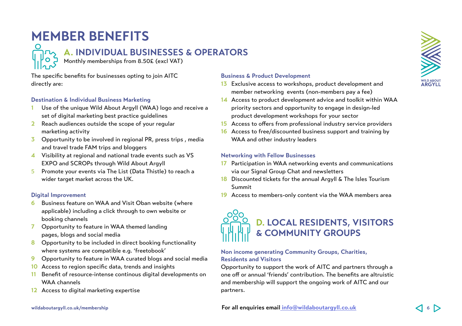# **MEMBER BENEFITS**

# **A. INDIVIDUAL BUSINESSES & OPERATORS**

Monthly memberships from 8.50£ (excl VAT)

The specific benefits for businesses opting to join AITC directly are:

# **Destination & Individual Business Marketing**

- **1** Use of the unique Wild About Argyll (WAA) logo and receive a set of digital marketing best practice guidelines
- **2** Reach audiences outside the scope of your regular marketing activity
- **3** Opportunity to be involved in regional PR, press trips , media and travel trade FAM trips and bloggers
- **4** Visibility at regional and national trade events such as VS EXPO and SCROPs through Wild About Argyll
- 5 Promote your events via The List (Data Thistle) to reach a wider target market across the UK.

# **Digital Improvement**

- **6** Business feature on WAA and Visit Oban website (where applicable) including a click through to own website or booking channels
- **7** Opportunity to feature in WAA themed landing pages, blogs and social media
- **8** Opportunity to be included in direct booking functionality where systems are compatible e.g. 'freetobook'
- **9** Opportunity to feature in WAA curated blogs and social media
- **10** Access to region specific data, trends and insights
- **11** Benefit of resource-intense continous digital developments on WAA channels
- **12** Access to digital marketing expertise

# **Business & Product Development**

- **13** Exclusive access to workshops, product development and member networking events (non-members pay a fee)
- **14** Access to product development advice and toolkit within WAA priority sectors and opportunity to engage in design-led product development workshops for your sector
- **15** Access to offers from professional industry service providers
- **16** Access to free/discounted business support and training by WAA and other industry leaders

# **Networking with Fellow Businesses**

- **17** Participation in WAA networking events and communications via our Signal Group Chat and newsletters
- **18** Discounted tickets for the annual Argyll & The Isles Tourism Summit
- **19** Access to members-only content via the WAA members area



# **Non income generating Community Groups, Charities, Residents and Visitors**

Opportunity to support the work of AITC and partners through a one off or annual 'friends' contribution. The benefits are altruistic and membership will support the ongoing work of AITC and our partners.

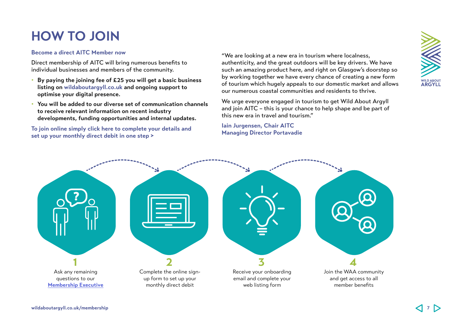# **HOW TO JOIN**

### **Become a direct AITC Member now**

Direct membership of AITC will bring numerous benefits to individual businesses and members of the community.

- **By paying the joining fee of £25 you will get a basic business listing on [wildaboutargyll.co.uk](http://wildaboutargyll.co.uk) and ongoing support to optimise your digital presence.**
- **You will be added to our diverse set of communication channels to receive relevant information on recent industry developments, funding opportunities and internal updates.**

**[To join online simply click here to complete your details and](https://www.wildaboutargyll.co.uk/membership)  [set up your monthly direct debit in one step >](https://www.wildaboutargyll.co.uk/membership)**

"We are looking at a new era in tourism where localness, authenticity, and the great outdoors will be key drivers. We have such an amazing product here, and right on Glasgow's doorstep so by working together we have every chance of creating a new form of tourism which hugely appeals to our domestic market and allows our numerous coastal communities and residents to thrive.

We urge everyone engaged in tourism to get Wild About Argyll and join AITC – this is your chance to help shape and be part of this new era in travel and tourism."

**Iain Jurgensen, Chair AITC Managing Director Portavadie**



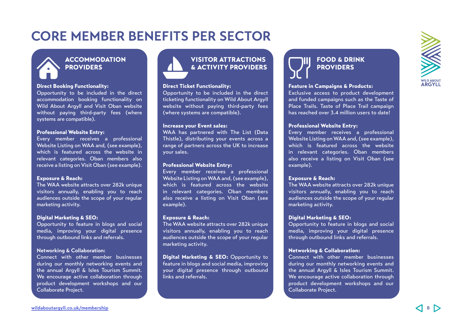# **CORE MEMBER BENEFITS PER SECTOR**

# **ACCOMMODATION PROVIDERS**

### Direct Booking Functionality:

Opportunity to be included in the direct accommodation booking functionality on Wild About Argyll and Visit Oban website without paying third-party fees (where systems are compatible).

### Professional Website Entry:

Every member receives a professional Website Listing on WAA and, (see example), which is featured across the website in relevant categories. Oban members also receive a listing on Visit Oban (see example).

### Exposure & Reach:

The WAA website attracts over 282k unique visitors annually, enabling you to reach audiences outside the scope of your regular marketing activity.

#### Digital Marketing & SEO:

Opportunity to feature in blogs and social media, improving your digital presence through outbound links and referrals.

#### **Networking & Collaboration:**

Connect with other member businesses during our monthly networking events and the annual Argyll & Isles Tourism Summit. We encourage active collaboration through product development workshops and our Collaborate Project.



#### Direct Ticket Functionality:

Opportunity to be included in the direct ticketing functionality on Wild About Argyll website without paying third-party fees (where systems are compatible).

#### Increase your Event sales:

WAA has partnered with The List (Data Thistle), distributing your events across a range of partners across the UK to increase your sales.

### Professional Website Entry:

Every member receives a professional Website Listing on WAA and, (see example), which is featured across the website in relevant categories. Oban members also receive a listing on Visit Oban (see example).

#### Exposure & Reach:

The WAA website attracts over 282k unique visitors annually, enabling you to reach audiences outside the scope of your regular marketing activity.

Digital Marketing & SEO: Opportunity to feature in blogs and social media, improving your digital presence through outbound links and referrals.

# FOOD & DRINK **PROVIDERS**

#### Feature in Campaigns & Products:

Exclusive access to product development and funded campaigns such as the Taste of Place Trails. Taste of Place Trail campaign has reached over 3.4 million users to date!

#### Professional Website Entry:

Every member receives a professional Website Listing on WAA and, (see example), which is featured across the website in relevant categories. Oban members also receive a listing on Visit Oban (see example).

#### Exposure & Reach:

The WAA website attracts over 282k unique visitors annually, enabling you to reach audiences outside the scope of your regular marketing activity.

#### Digital Marketing & SEO:

Opportunity to feature in blogs and social media, improving your digital presence through outbound links and referrals.

### Networking & Collaboration:

Connect with other member businesses during our monthly networking events and the annual Argyll & Isles Tourism Summit. We encourage active collaboration through product development workshops and our Collaborate Project.